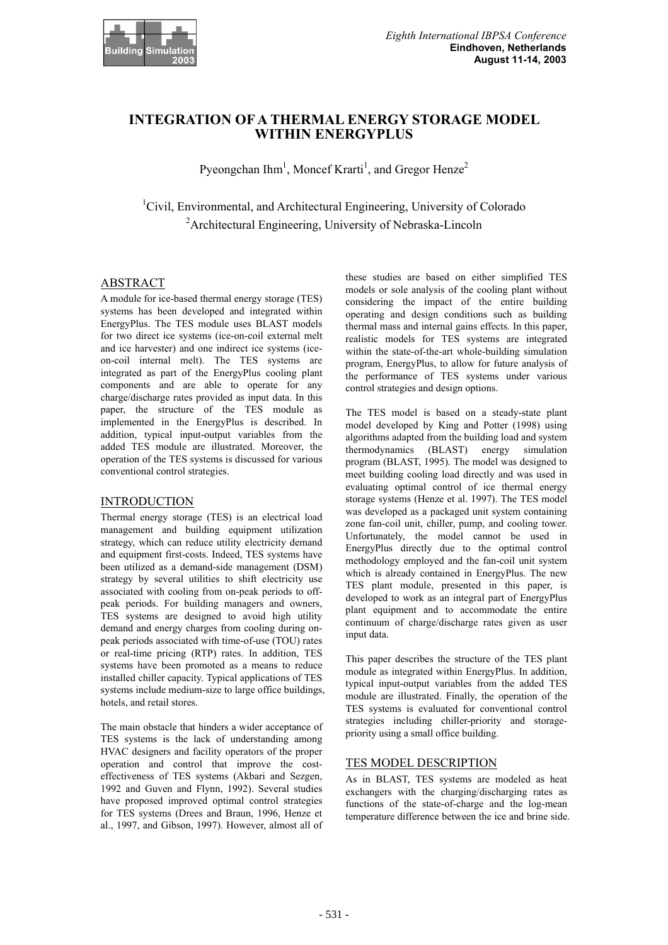

# **INTEGRATION OF A THERMAL ENERGY STORAGE MODEL WITHIN ENERGYPLUS**

Pyeongchan Ihm<sup>1</sup>, Moncef Krarti<sup>1</sup>, and Gregor Henze<sup>2</sup>

<sup>1</sup>Civil, Environmental, and Architectural Engineering, University of Colorado <sup>2</sup> Architectural Engineering, University of Nebraska-Lincoln

## ABSTRACT

A module for ice-based thermal energy storage (TES) systems has been developed and integrated within EnergyPlus. The TES module uses BLAST models for two direct ice systems (ice-on-coil external melt and ice harvester) and one indirect ice systems (iceon-coil internal melt). The TES systems are integrated as part of the EnergyPlus cooling plant components and are able to operate for any charge/discharge rates provided as input data. In this paper, the structure of the TES module as implemented in the EnergyPlus is described. In addition, typical input-output variables from the added TES module are illustrated. Moreover, the operation of the TES systems is discussed for various conventional control strategies.

## **INTRODUCTION**

Thermal energy storage (TES) is an electrical load management and building equipment utilization strategy, which can reduce utility electricity demand and equipment first-costs. Indeed, TES systems have been utilized as a demand-side management (DSM) strategy by several utilities to shift electricity use associated with cooling from on-peak periods to offpeak periods. For building managers and owners, TES systems are designed to avoid high utility demand and energy charges from cooling during onpeak periods associated with time-of-use (TOU) rates or real-time pricing (RTP) rates. In addition, TES systems have been promoted as a means to reduce installed chiller capacity. Typical applications of TES systems include medium-size to large office buildings, hotels, and retail stores.

The main obstacle that hinders a wider acceptance of TES systems is the lack of understanding among HVAC designers and facility operators of the proper operation and control that improve the costeffectiveness of TES systems (Akbari and Sezgen, 1992 and Guven and Flynn, 1992). Several studies have proposed improved optimal control strategies for TES systems (Drees and Braun, 1996, Henze et al., 1997, and Gibson, 1997). However, almost all of

these studies are based on either simplified TES models or sole analysis of the cooling plant without considering the impact of the entire building operating and design conditions such as building thermal mass and internal gains effects. In this paper, realistic models for TES systems are integrated within the state-of-the-art whole-building simulation program, EnergyPlus, to allow for future analysis of the performance of TES systems under various control strategies and design options.

The TES model is based on a steady-state plant model developed by King and Potter (1998) using algorithms adapted from the building load and system thermodynamics (BLAST) energy simulation program (BLAST, 1995). The model was designed to meet building cooling load directly and was used in evaluating optimal control of ice thermal energy storage systems (Henze et al. 1997). The TES model was developed as a packaged unit system containing zone fan-coil unit, chiller, pump, and cooling tower. Unfortunately, the model cannot be used in EnergyPlus directly due to the optimal control methodology employed and the fan-coil unit system which is already contained in EnergyPlus. The new TES plant module, presented in this paper, is developed to work as an integral part of EnergyPlus plant equipment and to accommodate the entire continuum of charge/discharge rates given as user input data.

This paper describes the structure of the TES plant module as integrated within EnergyPlus. In addition, typical input-output variables from the added TES module are illustrated. Finally, the operation of the TES systems is evaluated for conventional control strategies including chiller-priority and storagepriority using a small office building.

## TES MODEL DESCRIPTION

As in BLAST, TES systems are modeled as heat exchangers with the charging/discharging rates as functions of the state-of-charge and the log-mean temperature difference between the ice and brine side.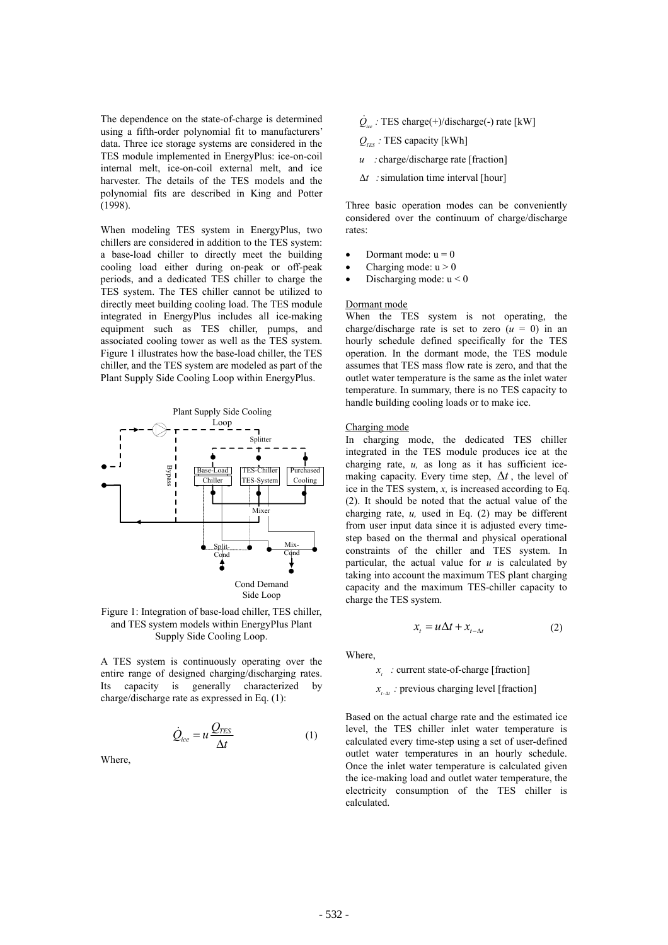The dependence on the state-of-charge is determined using a fifth-order polynomial fit to manufacturers' data. Three ice storage systems are considered in the TES module implemented in EnergyPlus: ice-on-coil internal melt ice-on-coil external melt and ice harvester. The details of the TES models and the polynomial fits are described in King and Potter (1998).

When modeling TES system in EnergyPlus, two chillers are considered in addition to the TES system: a base-load chiller to directly meet the building cooling load either during on-peak or off-peak periods, and a dedicated TES chiller to charge the TES system. The TES chiller cannot be utilized to directly meet building cooling load. The TES module integrated in EnergyPlus includes all ice-making equipment such as TES chiller, pumps, and associated cooling tower as well as the TES system. Figure 1 illustrates how the base-load chiller, the TES chiller, and the TES system are modeled as part of the Plant Supply Side Cooling Loop within EnergyPlus.



Figure 1: Integration of base-load chiller, TES chiller, and TES system models within EnergyPlus Plant Supply Side Cooling Loop.

A TES system is continuously operating over the entire range of designed charging/discharging rates. Its capacity is generally characterized by charge/discharge rate as expressed in Eq. (1):

$$
\dot{Q}_{ice} = u \frac{Q_{TES}}{\Delta t}
$$
 (1)

Where,

- $\dot{Q}_{ice}$ : TES charge(+)/discharge(-) rate [kW]
- $Q_{\text{res}}$ : TES capacity [kWh]
- charge/discharge rate [fraction] *u :*
- $\Delta t$ : simulation time interval [hour]

Three basic operation modes can be conveniently considered over the continuum of charge/discharge rates:

- Dormant mode:  $u = 0$
- Charging mode:  $u > 0$
- Discharging mode:  $u < 0$

#### Dormant mode

When the TES system is not operating, the charge/discharge rate is set to zero  $(u = 0)$  in an hourly schedule defined specifically for the TES operation. In the dormant mode, the TES module assumes that TES mass flow rate is zero, and that the outlet water temperature is the same as the inlet water temperature. In summary, there is no TES capacity to handle building cooling loads or to make ice.

#### Charging mode

In charging mode, the dedicated TES chiller integrated in the TES module produces ice at the charging rate, *u,* as long as it has sufficient icemaking capacity. Every time step,  $\Delta t$ , the level of ice in the TES system, *x,* is increased according to Eq. (2). It should be noted that the actual value of the charging rate, *u,* used in Eq. (2) may be different from user input data since it is adjusted every timestep based on the thermal and physical operational constraints of the chiller and TES system. In particular, the actual value for  $u$  is calculated by taking into account the maximum TES plant charging capacity and the maximum TES-chiller capacity to charge the TES system.

$$
x_t = u\Delta t + x_{t-\Delta t} \tag{2}
$$

Where,

current state-of-charge [fraction] *t x :*

*x*<sub>*t*- $\alpha$ </sub> : previous charging level [fraction]

Based on the actual charge rate and the estimated ice level, the TES chiller inlet water temperature is calculated every time-step using a set of user-defined outlet water temperatures in an hourly schedule. Once the inlet water temperature is calculated given the ice-making load and outlet water temperature, the electricity consumption of the TES chiller is calculated.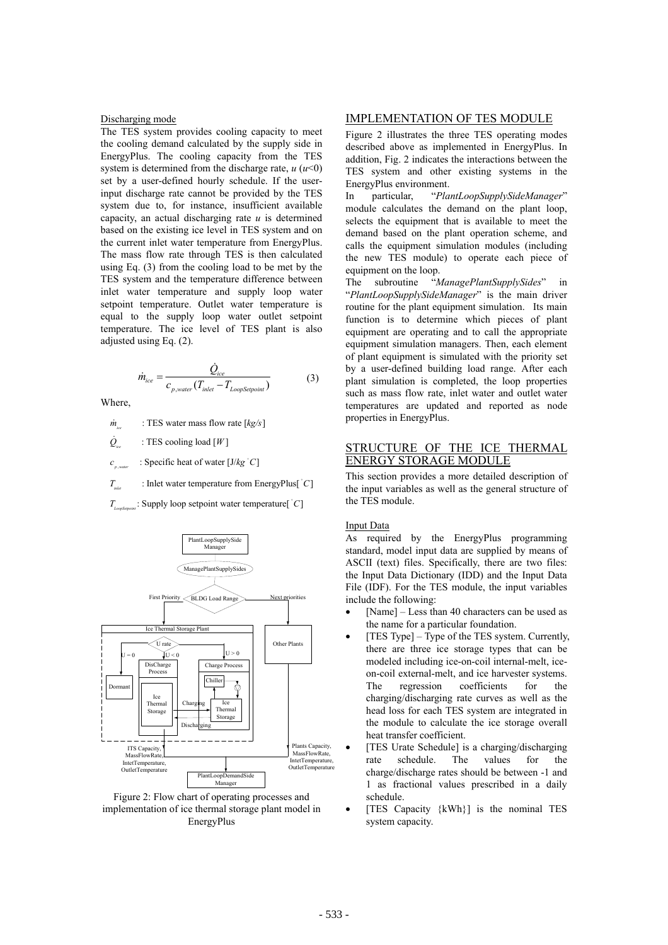### Discharging mode

The TES system provides cooling capacity to meet the cooling demand calculated by the supply side in EnergyPlus. The cooling capacity from the TES system is determined from the discharge rate,  $u (u \le 0)$ set by a user-defined hourly schedule. If the userinput discharge rate cannot be provided by the TES system due to, for instance, insufficient available capacity, an actual discharging rate *u* is determined based on the existing ice level in TES system and on the current inlet water temperature from EnergyPlus. The mass flow rate through TES is then calculated using Eq. (3) from the cooling load to be met by the TES system and the temperature difference between inlet water temperature and supply loop water setpoint temperature. Outlet water temperature is equal to the supply loop water outlet setpoint temperature. The ice level of TES plant is also adjusted using Eq. (2).

$$
\dot{m}_{ice} = \frac{\dot{Q}_{ice}}{c_{p,water}(T_{inlet} - T_{Loop\text{Steppoint}})}
$$
(3)

Where,

 $\dot{m}$  : TES water mass flow rate  $[kg/s]$ *ice*

 $Q_{\text{max}}$  : TES cooling load [W] *ice*

, *p water*  $c \quad \text{[} \text{Specific heat of water} \text{[J/kg } ^{\circ}C \text{]}$ 

 $T_{\text{max}}$  : Inlet water temperature from EnergyPlus[ $^{\circ}C$ ]  $T_{\text{inter}}$ 

: Supply loop setpoint water temperature[  $\degree$ C] *LoopSetpoint T*



Figure 2: Flow chart of operating processes and implementation of ice thermal storage plant model in EnergyPlus

## IMPLEMENTATION OF TES MODULE

Figure 2 illustrates the three TES operating modes described above as implemented in EnergyPlus. In addition, Fig. 2 indicates the interactions between the TES system and other existing systems in the EnergyPlus environment.

In particular, "*PlantLoopSupplySideManager*" module calculates the demand on the plant loop, selects the equipment that is available to meet the demand based on the plant operation scheme, and calls the equipment simulation modules (including the new TES module) to operate each piece of equipment on the loop.

The subroutine "*ManagePlantSupplySides*" in "*PlantLoopSupplySideManager*" is the main driver routine for the plant equipment simulation. Its main function is to determine which pieces of plant equipment are operating and to call the appropriate equipment simulation managers. Then, each element of plant equipment is simulated with the priority set by a user-defined building load range. After each plant simulation is completed, the loop properties such as mass flow rate, inlet water and outlet water temperatures are updated and reported as node properties in EnergyPlus.

## STRUCTURE OF THE ICE THERMAL ENERGY STORAGE MODULE

This section provides a more detailed description of the input variables as well as the general structure of the TES module.

#### Input Data

As required by the EnergyPlus programming standard, model input data are supplied by means of ASCII (text) files. Specifically, there are two files: the Input Data Dictionary (IDD) and the Input Data File (IDF). For the TES module, the input variables include the following:

- $[Name] Less than 40 characters can be used as$ the name for a particular foundation.
- [TES Type] Type of the TES system. Currently, there are three ice storage types that can be modeled including ice-on-coil internal-melt, iceon-coil external-melt, and ice harvester systems. The regression coefficients for the charging/discharging rate curves as well as the head loss for each TES system are integrated in the module to calculate the ice storage overall heat transfer coefficient.
- [TES Urate Schedule] is a charging/discharging rate schedule. The values for the charge/discharge rates should be between -1 and 1 as fractional values prescribed in a daily schedule.
- [TES Capacity  $\{kWh\}$ ] is the nominal TES system capacity.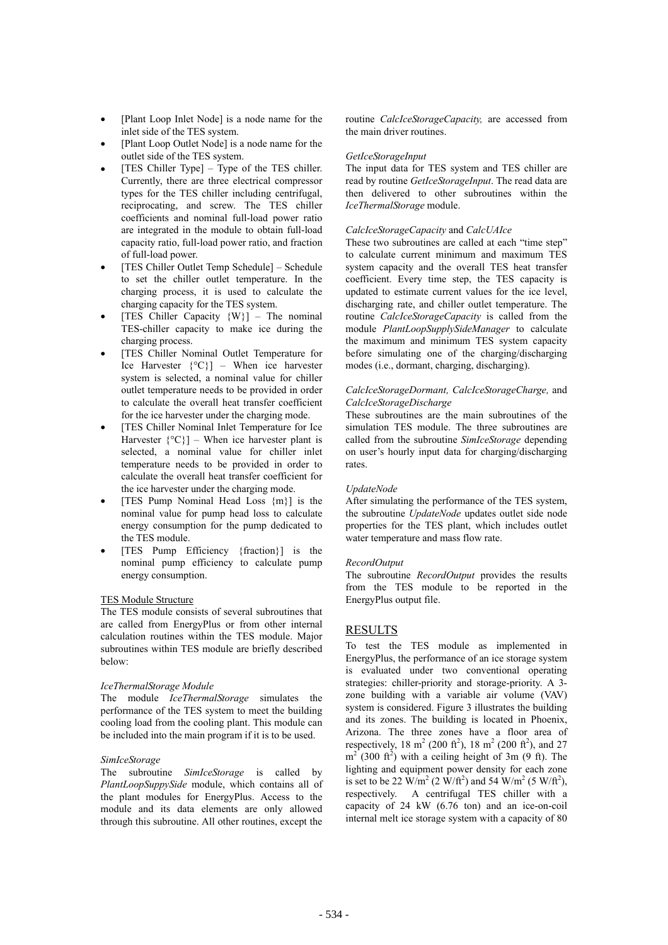- [Plant Loop Inlet Node] is a node name for the inlet side of the TES system.
- [Plant Loop Outlet Node] is a node name for the outlet side of the TES system.
- [TES Chiller Type] Type of the TES chiller. Currently, there are three electrical compressor types for the TES chiller including centrifugal, reciprocating, and screw. The TES chiller coefficients and nominal full-load power ratio are integrated in the module to obtain full-load capacity ratio, full-load power ratio, and fraction of full-load power.
- [TES Chiller Outlet Temp Schedule] Schedule to set the chiller outlet temperature. In the charging process, it is used to calculate the charging capacity for the TES system.
- [TES Chiller Capacity  $\{W\}$ ] The nominal TES-chiller capacity to make ice during the charging process.
- [TES Chiller Nominal Outlet Temperature for Ice Harvester  $\{^{\circ}C\}$  – When ice harvester system is selected, a nominal value for chiller outlet temperature needs to be provided in order to calculate the overall heat transfer coefficient for the ice harvester under the charging mode.
- [TES Chiller Nominal Inlet Temperature for Ice Harvester  $\{^{\circ}C\}$  – When ice harvester plant is selected, a nominal value for chiller inlet temperature needs to be provided in order to calculate the overall heat transfer coefficient for the ice harvester under the charging mode.
- [TES Pump Nominal Head Loss  ${m}$ ] is the nominal value for pump head loss to calculate energy consumption for the pump dedicated to the TES module.
- [TES Pump Efficiency {fraction}] is the nominal pump efficiency to calculate pump energy consumption.

### TES Module Structure

The TES module consists of several subroutines that are called from EnergyPlus or from other internal calculation routines within the TES module. Major subroutines within TES module are briefly described below:

### *IceThermalStorage Module*

The module *IceThermalStorage* simulates the performance of the TES system to meet the building cooling load from the cooling plant. This module can be included into the main program if it is to be used.

### *SimIceStorage*

The subroutine *SimIceStorage* is called by *PlantLoopSuppySide* module, which contains all of the plant modules for EnergyPlus. Access to the module and its data elements are only allowed through this subroutine. All other routines, except the routine *CalcIceStorageCapacity,* are accessed from the main driver routines.

### *GetIceStorageInput*

The input data for TES system and TES chiller are read by routine *GetIceStorageInput*. The read data are then delivered to other subroutines within the *IceThermalStorage* module.

### *CalcIceStorageCapacity* and *CalcUAIce*

These two subroutines are called at each "time step" to calculate current minimum and maximum TES system capacity and the overall TES heat transfer coefficient. Every time step, the TES capacity is updated to estimate current values for the ice level, discharging rate, and chiller outlet temperature. The routine *CalcIceStorageCapacity* is called from the module *PlantLoopSupplySideManager* to calculate the maximum and minimum TES system capacity before simulating one of the charging/discharging modes (i.e., dormant, charging, discharging).

### *CalcIceStorageDormant, CalcIceStorageCharge,* and *CalcIceStorageDischarge*

These subroutines are the main subroutines of the simulation TES module. The three subroutines are called from the subroutine *SimIceStorage* depending on user's hourly input data for charging/discharging rates.

### *UpdateNode*

After simulating the performance of the TES system, the subroutine *UpdateNode* updates outlet side node properties for the TES plant, which includes outlet water temperature and mass flow rate.

#### *RecordOutput*

The subroutine *RecordOutput* provides the results from the TES module to be reported in the EnergyPlus output file.

## RESULTS

To test the TES module as implemented in EnergyPlus, the performance of an ice storage system is evaluated under two conventional operating strategies: chiller-priority and storage-priority. A 3 zone building with a variable air volume (VAV) system is considered. Figure 3 illustrates the building and its zones. The building is located in Phoenix, Arizona. The three zones have a floor area of respectively, 18 m<sup>2</sup> (200 ft<sup>2</sup>), 18 m<sup>2</sup> (200 ft<sup>2</sup>), and 27  $m<sup>2</sup>$  (300 ft<sup>2</sup>) with a ceiling height of 3m (9 ft). The lighting and equipment power density for each zone is set to be 22  $\text{W/m}^2$  (2  $\text{W/ft}^2$ ) and 54  $\text{W/m}^2$  (5  $\text{W/ft}^2$ ), respectively. A centrifugal TES chiller with a capacity of 24 kW (6.76 ton) and an ice-on-coil internal melt ice storage system with a capacity of 80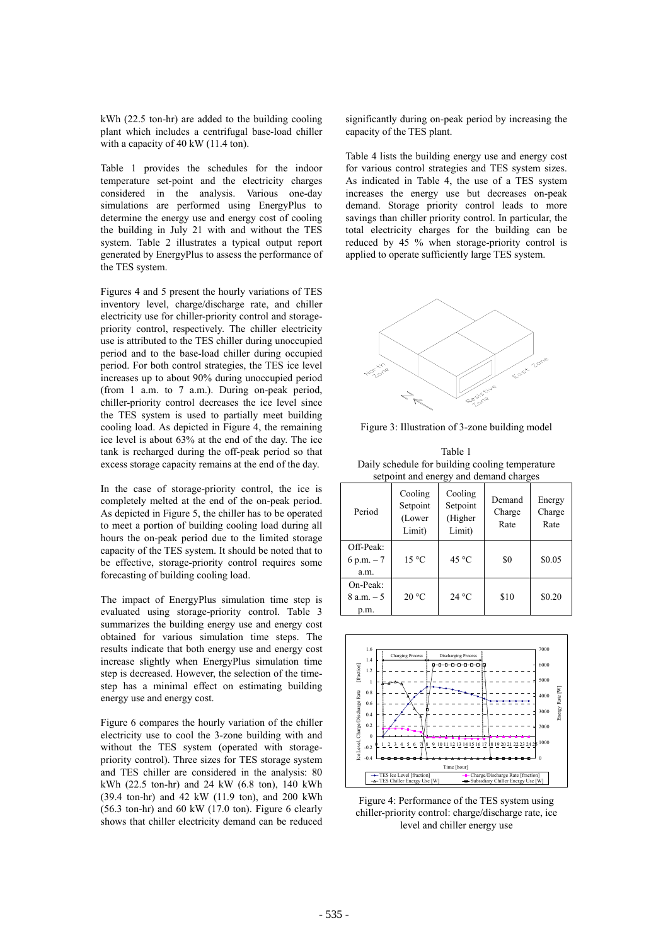kWh (22.5 ton-hr) are added to the building cooling plant which includes a centrifugal base-load chiller with a capacity of 40 kW (11.4 ton).

Table 1 provides the schedules for the indoor temperature set-point and the electricity charges considered in the analysis. Various one-day simulations are performed using EnergyPlus to determine the energy use and energy cost of cooling the building in July 21 with and without the TES system. Table 2 illustrates a typical output report generated by EnergyPlus to assess the performance of the TES system.

Figures 4 and 5 present the hourly variations of TES inventory level, charge/discharge rate, and chiller electricity use for chiller-priority control and storagepriority control, respectively. The chiller electricity use is attributed to the TES chiller during unoccupied period and to the base-load chiller during occupied period. For both control strategies, the TES ice level increases up to about 90% during unoccupied period (from 1 a.m. to 7 a.m.). During on-peak period, chiller-priority control decreases the ice level since the TES system is used to partially meet building cooling load. As depicted in Figure 4, the remaining ice level is about 63% at the end of the day. The ice tank is recharged during the off-peak period so that excess storage capacity remains at the end of the day.

In the case of storage-priority control, the ice is completely melted at the end of the on-peak period. As depicted in Figure 5, the chiller has to be operated to meet a portion of building cooling load during all hours the on-peak period due to the limited storage capacity of the TES system. It should be noted that to be effective, storage-priority control requires some forecasting of building cooling load.

The impact of EnergyPlus simulation time step is evaluated using storage-priority control. Table 3 summarizes the building energy use and energy cost obtained for various simulation time steps. The results indicate that both energy use and energy cost increase slightly when EnergyPlus simulation time step is decreased. However, the selection of the timestep has a minimal effect on estimating building energy use and energy cost.

Figure 6 compares the hourly variation of the chiller electricity use to cool the 3-zone building with and without the TES system (operated with storagepriority control). Three sizes for TES storage system and TES chiller are considered in the analysis: 80 kWh (22.5 ton-hr) and 24 kW (6.8 ton), 140 kWh (39.4 ton-hr) and 42 kW (11.9 ton), and 200 kWh  $(56.3 \text{ ton-hr})$  and  $60 \text{ kW}$   $(17.0 \text{ ton})$ . Figure 6 clearly shows that chiller electricity demand can be reduced

significantly during on-peak period by increasing the capacity of the TES plant.

Table 4 lists the building energy use and energy cost for various control strategies and TES system sizes. As indicated in Table 4, the use of a TES system increases the energy use but decreases on-peak demand. Storage priority control leads to more savings than chiller priority control. In particular, the total electricity charges for the building can be reduced by 45 % when storage-priority control is applied to operate sufficiently large TES system.



Figure 3: Illustration of 3-zone building model

Table 1 Daily schedule for building cooling temperature setpoint and energy and demand charges

| Period                              | Cooling<br>Setpoint<br>(Lower<br>Limit) | Cooling<br>Setpoint<br>(Higher<br>Limit) | Demand<br>Charge<br>Rate | Energy<br>Charge<br>Rate |
|-------------------------------------|-----------------------------------------|------------------------------------------|--------------------------|--------------------------|
| Off-Peak:<br>6 p.m. $-7$<br>a.m.    | $15^{\circ}$ C                          | $45^{\circ}$ C                           | \$0                      | \$0.05                   |
| $On-Peak$ :<br>$8 a.m. - 5$<br>p.m. | 20 °C                                   | 24 °C                                    | \$10                     | \$0.20                   |



Figure 4: Performance of the TES system using chiller-priority control: charge/discharge rate, ice level and chiller energy use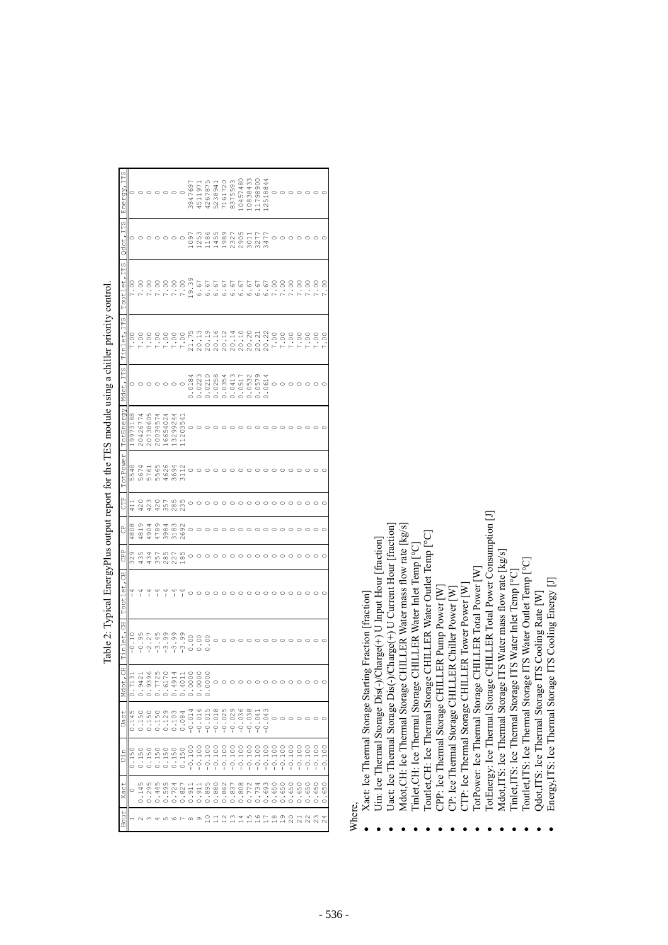| Energy, ITS     |          |          |          |                |         |          |          | 3947697  | 451197     | 4267875  | 523894   | 7161720  | 8375593  | 10457480 | 10838433 | 11798900 | 12518844 |                    |                         |                                      |                                          |          |          |          |
|-----------------|----------|----------|----------|----------------|---------|----------|----------|----------|------------|----------|----------|----------|----------|----------|----------|----------|----------|--------------------|-------------------------|--------------------------------------|------------------------------------------|----------|----------|----------|
| Qdot, ITS       | $\circ$  |          |          |                |         | $\circ$  | $\circ$  | 1097     | 1253       | 1186     | 1455     | 1989     | 2327     | 2905     | 3011     | 3277     | 3477     |                    |                         |                                      |                                          |          |          |          |
| Toutlet, ITS    | 7.00     | 7.00     | 7.00     | 7.00           | 7.00    | 7.00     | 7.00     | 19.39    | 6.67       | 6.67     | 6.67     | 6.67     | 6.67     | 6.67     | 6.67     | 6.67     | 6.67     | 7.00               | 7.00                    | 7.00                                 | 7.00                                     | 7.00     | 7.00     | 7.00     |
| Tinlet, ITS     | 00<br>-  | 7.00     | 7.00     | 7.00           | 7.00    | 7.00     | 7.00     | 21.75    | 20.13      | 20.19    | 20.16    | 20.12    | 20.14    | 20.10    | 20.20    | 20.21    | 20.22    | 7.00               | 7.00                    | 7.00                                 | 7.00                                     | 7.00     | 7.00     | 7.00     |
| Mdot, ITS       |          |          |          |                |         |          |          | .0184    | .0223<br>ċ | .0210    | .0258    | 0.0354   | .0413    | .0517    | .0532    | .0579    | 0.0614   | $\circ$            |                         |                                      |                                          |          |          |          |
| TotEnergy       | 19973188 | 20426774 | 20738605 | 20034574       | 6654024 | 13299244 | 11203541 | $\circ$  |            |          |          |          |          |          |          |          |          |                    |                         |                                      |                                          |          |          |          |
| TotPower        | 5548     | 5674     | 5761     | 5955           | 4626    | 3694     | 3112     | $\circ$  |            |          |          |          |          |          |          |          |          |                    |                         |                                      |                                          |          |          |          |
| <b>CTP</b>      | E P      | 420      | 423      | 420            | 357     | 285      | 235      |          |            |          |          |          |          |          |          |          |          |                    |                         |                                      |                                          |          |          |          |
| ů               | 4808     | .819     | 4904     | .789           | 3984    | 8183     | :692     | $\circ$  |            |          |          |          |          |          |          |          |          |                    |                         |                                      |                                          |          |          |          |
| PP<br>CP        | 329      | 435      | 434      | 357            | 285     | 227      | 185      |          |            |          |          |          |          |          |          |          |          |                    |                         |                                      |                                          |          |          |          |
| Toutlet, CH     | 7        | ĭ        |          |                |         |          |          |          |            |          |          |          |          |          |          |          |          |                    |                         |                                      |                                          |          |          |          |
| 3<br>$T$ inlet, | $-0.10$  | $-0.95$  | $-2.27$  | $-3.45$        | $-3.99$ | $-3.99$  | $-3.99$  | 0.00     | 0.00       | 0.00     | $\circ$  |          |          |          |          |          |          |                    |                         |                                      |                                          |          |          |          |
| Mdot, C         | 0.713    |          | 0.9396   |                |         | 0.491    | 0.401    | 0.0000   | 0.0001     | 0.0000   | $\circ$  |          |          |          |          |          |          |                    |                         |                                      |                                          |          |          |          |
| Uact            | 0.145    | .150     | 0.150    | <sup>150</sup> | .129    | 0.103    | 0.084    | $-0.014$ | $-0.016$   | $-0.015$ | $-0.018$ | $-0.025$ | $-0.029$ | $-0.036$ | $-0.038$ | $-0.041$ | $-0.043$ |                    | $\circ$ $\circ$ $\circ$ |                                      | $\circ$                                  | $\circ$  |          |          |
| Uin             | 0.150    | .150     | 0.150    | .150           | .150    | 0.150    | 0.150    | $-0.10$  | $-0.10$    | $-0.10$  | $-0.100$ | $-0.100$ | $-0.100$ | $-0.100$ | $-0.100$ | $-0.100$ | $-0.100$ | $-0.100$           | $-0.100$                | $-0.100$                             | $-0.101$                                 | $-0.100$ | $-0.100$ | $-0.100$ |
| Xact            |          | .145     | 0.295    | 0.445          | 0.595   | 0.724    | 0.827    | 0.911    | 0.911      | 0.895    | 0.880    | 0.862    | 0.837    | 0.808    | 0.772    | 0.734    | 1.693    | 0.650              | 0.650                   | 0.650                                | 0.650                                    | 0.650    | 1.650    | 0.650    |
| HOUT            |          |          |          |                | ഗ       | $\circ$  |          | $\infty$ | $\circ$    | $\Xi$    |          |          |          | 14       |          |          |          | $\frac{\infty}{1}$ | 19                      | $\stackrel{\circ}{\scriptstyle\sim}$ | $\begin{array}{c} 74 \\ 240 \end{array}$ |          |          |          |
|                 |          |          |          |                |         |          |          |          |            |          |          |          |          |          |          |          |          |                    |                         |                                      |                                          |          |          |          |

Table 2: Typical EnergyPlus output report for the TES module using a chiller priority control. Table 2: Typical EnergyPlus output report for the TES module using a chiller priority control.

Where,

- Xact: Ice Thermal Storage Starting Fraction [fraction] Xact: Ice Thermal Storage Starting Fraction [fraction]
- $\bullet$  Uin: Ice Thermal Storage Dis(-)/Charge(+) U Input Hour [fraction] Uin: Ice Thermal Storage Dis(-)/Charge(+) U Input Hour [fraction]
- $\bullet$  Uact: Ice Thermal Storage Dis(-)/Charge(+) U Current Hour [fraction] Uact: Ice Thermal Storage Dis(-)/Charge(+) U Current Hour [fraction]
	- $\bullet$  Mdot, CH: Ice Thermal Storage CHILLER Water mass flow rate [kg/s] Mdot, CH: Ice Thermal Storage CHILLER Water mass flow rate [kg/s]
- Tinlet, CH: Ice Thermal Storage CHILLER Water Inlet Temp [°C]  $\bullet$  Tinlet, CH: Ice Thermal Storage CHILLER Water Inlet Temp  $[^{\circ}C]$ 
	- Toutlet, CH: Ice Thermal Storage CHILLER Water Outlet Temp [°C]
		- Toutlet, CH: Ice Thermal Storage CHILLER Water Outlet Temp [°C]
			- $\bullet$  CPP: Ice Thermal Storage CHILLER Pump Power  $[W]$ CPP: Ice Thermal Storage CHILLER Pump Power [W]
				- CP: Ice Thermal Storage CHILLER Chiller Power [W]
					- $\bullet$  CP: Ice Thermal Storage CHILLER Chiller Power  $\lfloor W \rfloor$
- $\bullet$  CTP: Ice Thermal Storage CHILLER Tower Power  $[N]$ CTP: Ice Thermal Storage CHILLER Tower Power [W]
- TotPower: Ice Thermal Storage CHILLER Total Power [W] TotPower: Ice Thermal Storage CHILLER Total Power [W]
- TotEnergy: Ice Thermal Storage CHILLER Total Power Consumption [J] • TotEnergy: Ice Thermal Storage CHILLER Total Power Consumption [J]
	- Mdot,ITS: Ice Thermal Storage ITS Water mass flow rate [kg/s]<br>Tinlet,ITS: Ice Thermal Storage ITS Water Inlet Temp [°C] **Mdot,ITS: Ice Thermal Storage ITS Water mass flow rate [kg/s]** 
		- $\bullet$  Tinlet,ITS: Ice Thermal Storage ITS Water Inlet Temp  $[^{\circ}C]$ 
			- Toutlet,ITS: Ice Thermal Storage ITS Water Outlet Temp [°C]  $\bullet$  Toutlet,ITS: Ice Thermal Storage ITS Water Outlet Temp  $[^{\circ}C]$ 
				- Qdot, ITS: Ice Thermal Storage ITS Cooling Rate [W]  $\bullet$  Qdot, ITS: Ice Thermal Storage ITS Cooling Rate  $[W]$ 
					- Energy, ITS: Ice Thermal Storage ITS Cooling Energy [J] • Energy,ITS: Ice Thermal Storage ITS Cooling Energy [J]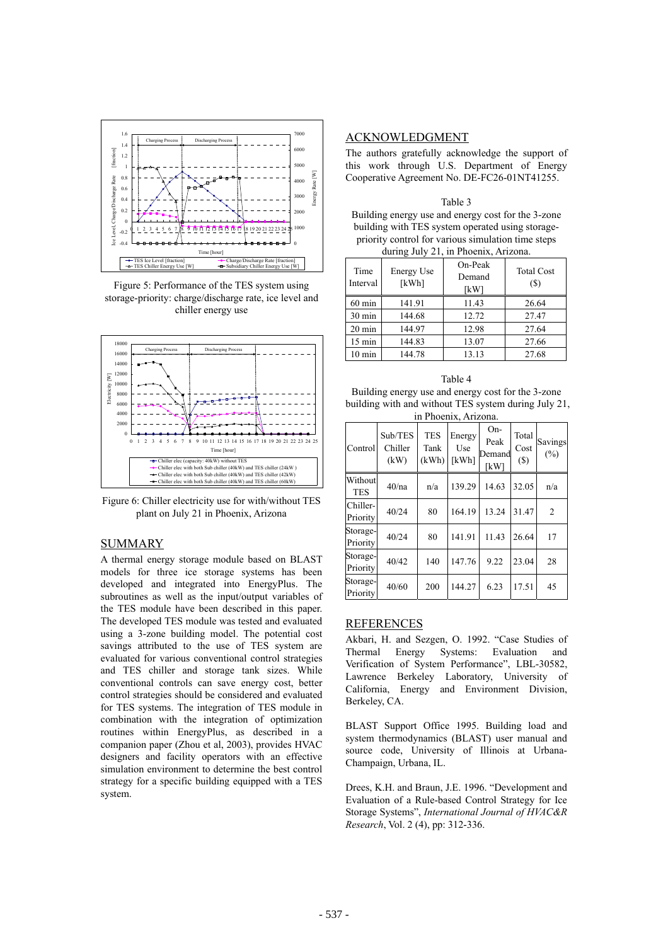

Figure 5: Performance of the TES system using storage-priority: charge/discharge rate, ice level and chiller energy use



Figure 6: Chiller electricity use for with/without TES plant on July 21 in Phoenix, Arizona

## SUMMARY

A thermal energy storage module based on BLAST models for three ice storage systems has been developed and integrated into EnergyPlus. The subroutines as well as the input/output variables of the TES module have been described in this paper. The developed TES module was tested and evaluated using a 3-zone building model. The potential cost savings attributed to the use of TES system are evaluated for various conventional control strategies and TES chiller and storage tank sizes. While conventional controls can save energy cost, better control strategies should be considered and evaluated for TES systems. The integration of TES module in combination with the integration of optimization routines within EnergyPlus, as described in a companion paper (Zhou et al, 2003), provides HVAC designers and facility operators with an effective simulation environment to determine the best control strategy for a specific building equipped with a TES system.

## ACKNOWLEDGMENT

The authors gratefully acknowledge the support of this work through U.S. Department of Energy Cooperative Agreement No. DE-FC26-01NT41255.

| Table 3                                            |
|----------------------------------------------------|
| Building energy use and energy cost for the 3-zone |
| building with TES system operated using storage-   |
| priority control for various simulation time steps |
| during July 21, in Phoenix, Arizona.               |

| Time<br>Interval | On-Peak<br><b>Energy Use</b><br>Demand<br>[kWh]<br>[kW] |       | <b>Total Cost</b><br>(S) |  |  |  |
|------------------|---------------------------------------------------------|-------|--------------------------|--|--|--|
| $60 \text{ min}$ | 141.91                                                  | 11.43 | 26.64                    |  |  |  |
| $30 \text{ min}$ | 144.68                                                  | 12.72 | 27.47                    |  |  |  |
| $20 \text{ min}$ | 144.97                                                  | 12.98 | 27.64                    |  |  |  |
| $15 \text{ min}$ | 144.83                                                  | 13.07 | 27.66                    |  |  |  |
| $10 \text{ min}$ | 144.78                                                  | 13.13 | 27.68                    |  |  |  |

### Table 4

Building energy use and energy cost for the 3-zone building with and without TES system during July 21, in Phoenix, Arizona.

| Control               | Sub/TES<br>Chiller<br>(kW) | <b>TES</b><br>Tank<br>(kWh) | Energy<br>Use<br>[kWh] | On-<br>Peak<br>Demand<br>[kW] | Total<br>Cost<br>$(\$)$ | Savings<br>$(\%)$ |
|-----------------------|----------------------------|-----------------------------|------------------------|-------------------------------|-------------------------|-------------------|
| Without<br><b>TES</b> | 40/na                      | n/a                         | 139.29                 | 14.63                         | 32.05                   | n/a               |
| Chiller-<br>Priority  | 40/24                      | 80                          | 164.19                 | 13.24                         | 31.47                   | $\overline{2}$    |
| Storage-<br>Priority  | 40/24                      | 80                          | 141.91                 | 11.43                         | 26.64                   | 17                |
| Storage-<br>Priority  | 40/42                      | 140                         | 147.76                 | 9.22                          | 23.04                   | 28                |
| Storage-<br>Priority  | 40/60                      | 200                         | 144.27                 | 6.23                          | 17.51                   | 45                |

## REFERENCES

Akbari, H. and Sezgen, O. 1992. "Case Studies of Thermal Energy Systems: Evaluation and Verification of System Performance", LBL-30582, Lawrence Berkeley Laboratory, University of California, Energy and Environment Division, Berkeley, CA.

BLAST Support Office 1995. Building load and system thermodynamics (BLAST) user manual and source code, University of Illinois at Urbana-Champaign, Urbana, IL.

Drees, K.H. and Braun, J.E. 1996. "Development and Evaluation of a Rule-based Control Strategy for Ice Storage Systems", *International Journal of HVAC&R Research*, Vol. 2 (4), pp: 312-336.